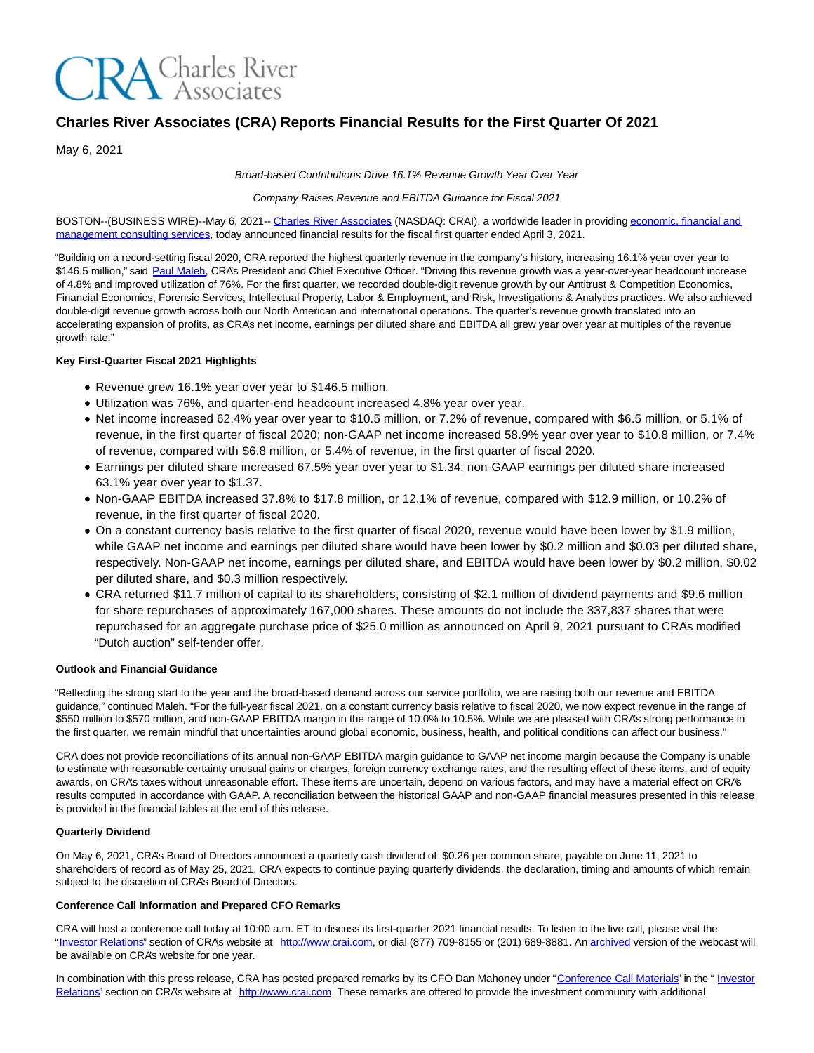# **CRA** Charles River

## **Charles River Associates (CRA) Reports Financial Results for the First Quarter Of 2021**

May 6, 2021

#### Broad-based Contributions Drive 16.1% Revenue Growth Year Over Year

#### Company Raises Revenue and EBITDA Guidance for Fiscal 2021

BOSTON--(BUSINESS WIRE)--May 6, 2021-- [Charles River Associates \(](https://cts.businesswire.com/ct/CT?id=smartlink&url=https%3A%2F%2Fwww.crai.com%2F&esheet=52424537&newsitemid=20210506005343&lan=en-US&anchor=Charles+River+Associates&index=1&md5=756b2570e62c1f8befb67a936ef454cd)NASDAQ: CRAI), a worldwide leader in providin[g economic, financial and](https://cts.businesswire.com/ct/CT?id=smartlink&url=https%3A%2F%2Fwww.crai.com%2F&esheet=52424537&newsitemid=20210506005343&lan=en-US&anchor=economic%2C+financial+and+management+consulting+services&index=2&md5=7f32f523cbc5790ff1540300c14cd84c) management consulting services, today announced financial results for the fiscal first quarter ended April 3, 2021.

"Building on a record-setting fiscal 2020, CRA reported the highest quarterly revenue in the company's history, increasing 16.1% year over year to \$146.5 million," said [Paul Maleh,](https://cts.businesswire.com/ct/CT?id=smartlink&url=https%3A%2F%2Fwww.crai.com%2Four-people%2Fpaul-maleh%2F&esheet=52424537&newsitemid=20210506005343&lan=en-US&anchor=Paul+Maleh&index=3&md5=be63c0a28c163551970e595d2e3ddacb) CRA's President and Chief Executive Officer. "Driving this revenue growth was a year-over-year headcount increase of 4.8% and improved utilization of 76%. For the first quarter, we recorded double-digit revenue growth by our Antitrust & Competition Economics, Financial Economics, Forensic Services, Intellectual Property, Labor & Employment, and Risk, Investigations & Analytics practices. We also achieved double-digit revenue growth across both our North American and international operations. The quarter's revenue growth translated into an accelerating expansion of profits, as CRA's net income, earnings per diluted share and EBITDA all grew year over year at multiples of the revenue growth rate."

#### **Key First-Quarter Fiscal 2021 Highlights**

- Revenue grew 16.1% year over year to \$146.5 million.
- Utilization was 76%, and quarter-end headcount increased 4.8% year over year.
- Net income increased 62.4% year over year to \$10.5 million, or 7.2% of revenue, compared with \$6.5 million, or 5.1% of revenue, in the first quarter of fiscal 2020; non-GAAP net income increased 58.9% year over year to \$10.8 million, or 7.4% of revenue, compared with \$6.8 million, or 5.4% of revenue, in the first quarter of fiscal 2020.
- Earnings per diluted share increased 67.5% year over year to \$1.34; non-GAAP earnings per diluted share increased 63.1% year over year to \$1.37.
- Non-GAAP EBITDA increased 37.8% to \$17.8 million, or 12.1% of revenue, compared with \$12.9 million, or 10.2% of revenue, in the first quarter of fiscal 2020.
- On a constant currency basis relative to the first quarter of fiscal 2020, revenue would have been lower by \$1.9 million, while GAAP net income and earnings per diluted share would have been lower by \$0.2 million and \$0.03 per diluted share, respectively. Non-GAAP net income, earnings per diluted share, and EBITDA would have been lower by \$0.2 million, \$0.02 per diluted share, and \$0.3 million respectively.
- CRA returned \$11.7 million of capital to its shareholders, consisting of \$2.1 million of dividend payments and \$9.6 million for share repurchases of approximately 167,000 shares. These amounts do not include the 337,837 shares that were repurchased for an aggregate purchase price of \$25.0 million as announced on April 9, 2021 pursuant to CRA's modified "Dutch auction" self-tender offer.

#### **Outlook and Financial Guidance**

"Reflecting the strong start to the year and the broad-based demand across our service portfolio, we are raising both our revenue and EBITDA guidance," continued Maleh. "For the full-year fiscal 2021, on a constant currency basis relative to fiscal 2020, we now expect revenue in the range of \$550 million to \$570 million, and non-GAAP EBITDA margin in the range of 10.0% to 10.5%. While we are pleased with CRA's strong performance in the first quarter, we remain mindful that uncertainties around global economic, business, health, and political conditions can affect our business."

CRA does not provide reconciliations of its annual non-GAAP EBITDA margin guidance to GAAP net income margin because the Company is unable to estimate with reasonable certainty unusual gains or charges, foreign currency exchange rates, and the resulting effect of these items, and of equity awards, on CRA's taxes without unreasonable effort. These items are uncertain, depend on various factors, and may have a material effect on CRA's results computed in accordance with GAAP. A reconciliation between the historical GAAP and non-GAAP financial measures presented in this release is provided in the financial tables at the end of this release.

#### **Quarterly Dividend**

On May 6, 2021, CRA's Board of Directors announced a quarterly cash dividend of \$0.26 per common share, payable on June 11, 2021 to shareholders of record as of May 25, 2021. CRA expects to continue paying quarterly dividends, the declaration, timing and amounts of which remain subject to the discretion of CRA's Board of Directors.

#### **Conference Call Information and Prepared CFO Remarks**

CRA will host a conference call today at 10:00 a.m. ET to discuss its first-quarter 2021 financial results. To listen to the live call, please visit the ["Investor Relations"](https://cts.businesswire.com/ct/CT?id=smartlink&url=https%3A%2F%2Fcrainternationalinc.gcs-web.com%2F&esheet=52424537&newsitemid=20210506005343&lan=en-US&anchor=Investor+Relations&index=4&md5=b8a6a5b5b212bee1632a46d4c3131e79) section of CRA's website at [http://www.crai.com,](https://cts.businesswire.com/ct/CT?id=smartlink&url=https%3A%2F%2Fwww.crai.com%2F&esheet=52424537&newsitemid=20210506005343&lan=en-US&anchor=http%3A%2F%2Fwww.crai.com&index=5&md5=75dde825dd4b80e3ee05c089ff1ef5ff) or dial (877) 709-8155 or (201) 689-8881. A[n archived v](https://cts.businesswire.com/ct/CT?id=smartlink&url=https%3A%2F%2Fcrainternationalinc.gcs-web.com%2Fevents-and-presentations%2Fpast-event&esheet=52424537&newsitemid=20210506005343&lan=en-US&anchor=archived&index=6&md5=72c79eb8fce8fbcfc58b9b7ac16fc2ce)ersion of the webcast will be available on CRA's website for one year.

In combination with this press release, CRA has posted prepared remarks by its CFO Dan Mahoney under ["Conference Call Materials"](https://cts.businesswire.com/ct/CT?id=smartlink&url=https%3A%2F%2Fcrainternationalinc.gcs-web.com%2Ffinancial-information%2Fquarterly-results&esheet=52424537&newsitemid=20210506005343&lan=en-US&anchor=Conference+Call+Materials&index=7&md5=418c47b567d10769a0736217a2ae1651) in the " [Investor](https://cts.businesswire.com/ct/CT?id=smartlink&url=https%3A%2F%2Fcrainternationalinc.gcs-web.com%2Finvestor-overview&esheet=52424537&newsitemid=20210506005343&lan=en-US&anchor=Investor+Relations&index=8&md5=d5cf55af70389eb2b476e21924dc4898) Relations" section on CRA's website at [http://www.crai.com.](https://cts.businesswire.com/ct/CT?id=smartlink&url=https%3A%2F%2Fwww.crai.com%2F&esheet=52424537&newsitemid=20210506005343&lan=en-US&anchor=http%3A%2F%2Fwww.crai.com&index=9&md5=2db9685949e904a43d9c82d317ada67a) These remarks are offered to provide the investment community with additional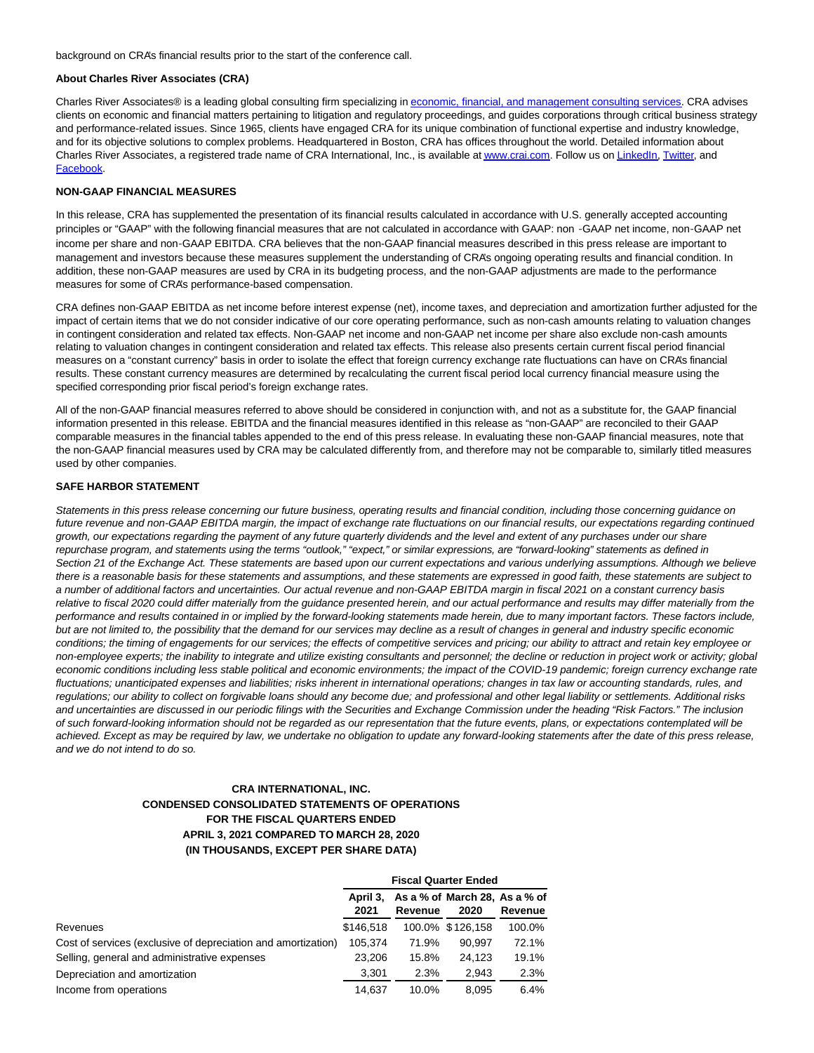background on CRA's financial results prior to the start of the conference call.

#### **About Charles River Associates (CRA)**

Charles River Associates® is a leading global consulting firm specializing i[n economic, financial, and management consulting services.](https://cts.businesswire.com/ct/CT?id=smartlink&url=https%3A%2F%2Fwww.crai.com%2F&esheet=52424537&newsitemid=20210506005343&lan=en-US&anchor=economic%2C+financial%2C+and+management+consulting+services&index=10&md5=22ad56a16d38c779dad24f9914a31143) CRA advises clients on economic and financial matters pertaining to litigation and regulatory proceedings, and guides corporations through critical business strategy and performance-related issues. Since 1965, clients have engaged CRA for its unique combination of functional expertise and industry knowledge, and for its objective solutions to complex problems. Headquartered in Boston, CRA has offices throughout the world. Detailed information about Charles River Associates, a registered trade name of CRA International, Inc., is available a[t www.crai.com.](https://cts.businesswire.com/ct/CT?id=smartlink&url=https%3A%2F%2Fwww.crai.com%2F&esheet=52424537&newsitemid=20210506005343&lan=en-US&anchor=www.crai.com&index=11&md5=f069fefe12d3cf585a9e35d0b5b230d8) Follow us o[n LinkedIn,](https://cts.businesswire.com/ct/CT?id=smartlink&url=https%3A%2F%2Fwww.linkedin.com%2Fcompany%2Fcharles-river-associates%2F&esheet=52424537&newsitemid=20210506005343&lan=en-US&anchor=LinkedIn&index=12&md5=f7ed97bf2b4fbf196ce868d5d43a1758) [Twitter,](https://cts.businesswire.com/ct/CT?id=smartlink&url=https%3A%2F%2Ftwitter.com%2FNews_CRA&esheet=52424537&newsitemid=20210506005343&lan=en-US&anchor=Twitter&index=13&md5=1b20754ad35bb3ff6e27581260515071) and [Facebook.](https://cts.businesswire.com/ct/CT?id=smartlink&url=https%3A%2F%2Fwww.facebook.com%2FCharlesRiverAssociates&esheet=52424537&newsitemid=20210506005343&lan=en-US&anchor=Facebook&index=14&md5=e22d2a9a26ad9e78d94b3d4026656bf2)

#### **NON-GAAP FINANCIAL MEASURES**

In this release, CRA has supplemented the presentation of its financial results calculated in accordance with U.S. generally accepted accounting principles or "GAAP" with the following financial measures that are not calculated in accordance with GAAP: non ‑GAAP net income, non‑GAAP net income per share and non‑GAAP EBITDA. CRA believes that the non-GAAP financial measures described in this press release are important to management and investors because these measures supplement the understanding of CRA's ongoing operating results and financial condition. In addition, these non-GAAP measures are used by CRA in its budgeting process, and the non-GAAP adjustments are made to the performance measures for some of CRA's performance-based compensation.

CRA defines non-GAAP EBITDA as net income before interest expense (net), income taxes, and depreciation and amortization further adjusted for the impact of certain items that we do not consider indicative of our core operating performance, such as non-cash amounts relating to valuation changes in contingent consideration and related tax effects. Non-GAAP net income and non-GAAP net income per share also exclude non-cash amounts relating to valuation changes in contingent consideration and related tax effects. This release also presents certain current fiscal period financial measures on a "constant currency" basis in order to isolate the effect that foreign currency exchange rate fluctuations can have on CRA's financial results. These constant currency measures are determined by recalculating the current fiscal period local currency financial measure using the specified corresponding prior fiscal period's foreign exchange rates.

All of the non-GAAP financial measures referred to above should be considered in conjunction with, and not as a substitute for, the GAAP financial information presented in this release. EBITDA and the financial measures identified in this release as "non-GAAP" are reconciled to their GAAP comparable measures in the financial tables appended to the end of this press release. In evaluating these non-GAAP financial measures, note that the non-GAAP financial measures used by CRA may be calculated differently from, and therefore may not be comparable to, similarly titled measures used by other companies.

#### **SAFE HARBOR STATEMENT**

Statements in this press release concerning our future business, operating results and financial condition, including those concerning guidance on future revenue and non-GAAP EBITDA margin, the impact of exchange rate fluctuations on our financial results, our expectations regarding continued growth, our expectations regarding the payment of any future quarterly dividends and the level and extent of any purchases under our share repurchase program, and statements using the terms "outlook," "expect," or similar expressions, are "forward-looking" statements as defined in Section 21 of the Exchange Act. These statements are based upon our current expectations and various underlying assumptions. Although we believe there is a reasonable basis for these statements and assumptions, and these statements are expressed in good faith, these statements are subject to a number of additional factors and uncertainties. Our actual revenue and non-GAAP EBITDA margin in fiscal 2021 on a constant currency basis relative to fiscal 2020 could differ materially from the guidance presented herein, and our actual performance and results may differ materially from the performance and results contained in or implied by the forward-looking statements made herein, due to many important factors. These factors include, but are not limited to, the possibility that the demand for our services may decline as a result of changes in general and industry specific economic conditions; the timing of engagements for our services; the effects of competitive services and pricing; our ability to attract and retain key employee or non-employee experts; the inability to integrate and utilize existing consultants and personnel; the decline or reduction in project work or activity; global economic conditions including less stable political and economic environments; the impact of the COVID-19 pandemic; foreign currency exchange rate fluctuations; unanticipated expenses and liabilities; risks inherent in international operations; changes in tax law or accounting standards, rules, and regulations; our ability to collect on forgivable loans should any become due; and professional and other legal liability or settlements. Additional risks and uncertainties are discussed in our periodic filings with the Securities and Exchange Commission under the heading "Risk Factors." The inclusion of such forward-looking information should not be regarded as our representation that the future events, plans, or expectations contemplated will be achieved. Except as may be required by law, we undertake no obligation to update any forward-looking statements after the date of this press release, and we do not intend to do so.

## **CRA INTERNATIONAL, INC. CONDENSED CONSOLIDATED STATEMENTS OF OPERATIONS FOR THE FISCAL QUARTERS ENDED APRIL 3, 2021 COMPARED TO MARCH 28, 2020 (IN THOUSANDS, EXCEPT PER SHARE DATA)**

|                                                               | <b>Fiscal Quarter Ended</b> |         |                                       |         |
|---------------------------------------------------------------|-----------------------------|---------|---------------------------------------|---------|
|                                                               | April 3.<br>2021            | Revenue | As a % of March 28, As a % of<br>2020 | Revenue |
| Revenues                                                      | \$146,518                   |         | 100.0% \$126,158                      | 100.0%  |
| Cost of services (exclusive of depreciation and amortization) | 105.374                     | 71.9%   | 90.997                                | 72.1%   |
| Selling, general and administrative expenses                  | 23.206                      | 15.8%   | 24.123                                | 19.1%   |
| Depreciation and amortization                                 | 3.301                       | 2.3%    | 2.943                                 | 2.3%    |
| Income from operations                                        | 14.637                      | 10.0%   | 8.095                                 | 6.4%    |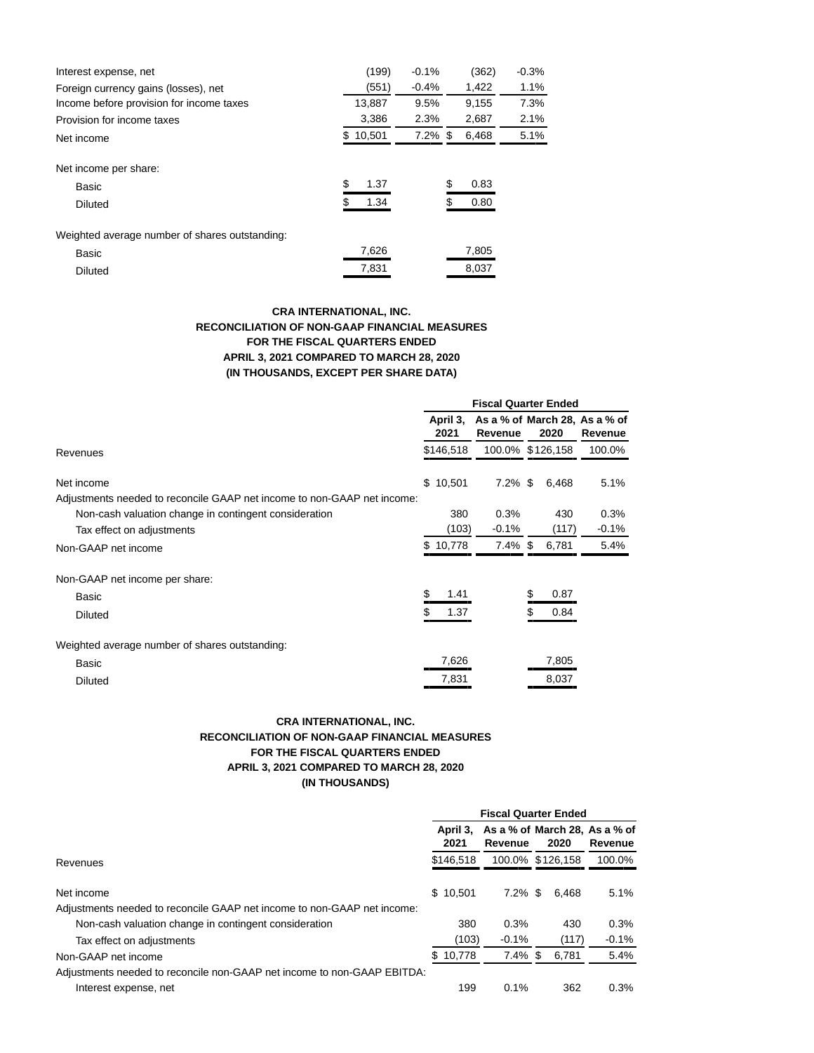| (199)      | $-0.1%$ | (362) | $-0.3%$          |
|------------|---------|-------|------------------|
| (551)      | $-0.4%$ | 1,422 | 1.1%             |
| 13,887     | 9.5%    | 9,155 | 7.3%             |
| 3,386      | 2.3%    | 2,687 | 2.1%             |
| \$10,501   |         | 6,468 | 5.1%             |
|            |         |       |                  |
| \$<br>1.37 |         | 0.83  |                  |
| 1.34       |         | 0.80  |                  |
|            |         |       |                  |
| 7,626      |         | 7,805 |                  |
| 7,831      |         | 8,037 |                  |
|            |         |       | $7.2\%$ \$<br>\$ |

## **CRA INTERNATIONAL, INC. RECONCILIATION OF NON-GAAP FINANCIAL MEASURES FOR THE FISCAL QUARTERS ENDED APRIL 3, 2021 COMPARED TO MARCH 28, 2020 (IN THOUSANDS, EXCEPT PER SHARE DATA)**

|                                                                         | <b>Fiscal Quarter Ended</b> |            |                                       |         |
|-------------------------------------------------------------------------|-----------------------------|------------|---------------------------------------|---------|
|                                                                         | April 3,<br>2021            | Revenue    | As a % of March 28, As a % of<br>2020 | Revenue |
| Revenues                                                                | \$146,518                   |            | 100.0% \$126,158                      | 100.0%  |
| Net income                                                              | \$10,501                    | $7.2\%$ \$ | 6,468                                 | 5.1%    |
| Adjustments needed to reconcile GAAP net income to non-GAAP net income: |                             |            |                                       |         |
| Non-cash valuation change in contingent consideration                   | 380                         | 0.3%       | 430                                   | 0.3%    |
| Tax effect on adjustments                                               | (103)                       | $-0.1%$    | (117)                                 | $-0.1%$ |
| Non-GAAP net income                                                     | \$10,778                    | $7.4\%$ \$ | 6,781                                 | 5.4%    |
| Non-GAAP net income per share:                                          |                             |            |                                       |         |
| Basic                                                                   | \$<br>1.41                  |            | 0.87                                  |         |
| <b>Diluted</b>                                                          | S<br>1.37                   |            | 0.84<br>S                             |         |
| Weighted average number of shares outstanding:                          |                             |            |                                       |         |
| Basic                                                                   | 7,626                       |            | 7,805                                 |         |
| <b>Diluted</b>                                                          | 7,831                       |            | 8,037                                 |         |

### **CRA INTERNATIONAL, INC. RECONCILIATION OF NON-GAAP FINANCIAL MEASURES FOR THE FISCAL QUARTERS ENDED APRIL 3, 2021 COMPARED TO MARCH 28, 2020 (IN THOUSANDS)**

|                                                                         | <b>Fiscal Quarter Ended</b> |            |                                       |         |
|-------------------------------------------------------------------------|-----------------------------|------------|---------------------------------------|---------|
|                                                                         | April 3.<br>2021            | Revenue    | As a % of March 28, As a % of<br>2020 | Revenue |
| Revenues                                                                | \$146.518                   |            | 100.0% \$126.158                      | 100.0%  |
| Net income                                                              | \$10.501                    | $7.2\%$ \$ | 6.468                                 | 5.1%    |
| Adjustments needed to reconcile GAAP net income to non-GAAP net income: |                             |            |                                       |         |
| Non-cash valuation change in contingent consideration                   | 380                         | 0.3%       | 430                                   | 0.3%    |
| Tax effect on adjustments                                               | (103)                       | $-0.1%$    | (117)                                 | $-0.1%$ |
| Non-GAAP net income                                                     | \$10.778                    | $7.4\%$ \$ | 6.781                                 | 5.4%    |
| Adjustments needed to reconcile non-GAAP net income to non-GAAP EBITDA: |                             |            |                                       |         |
| Interest expense, net                                                   | 199                         | 0.1%       | 362                                   | 0.3%    |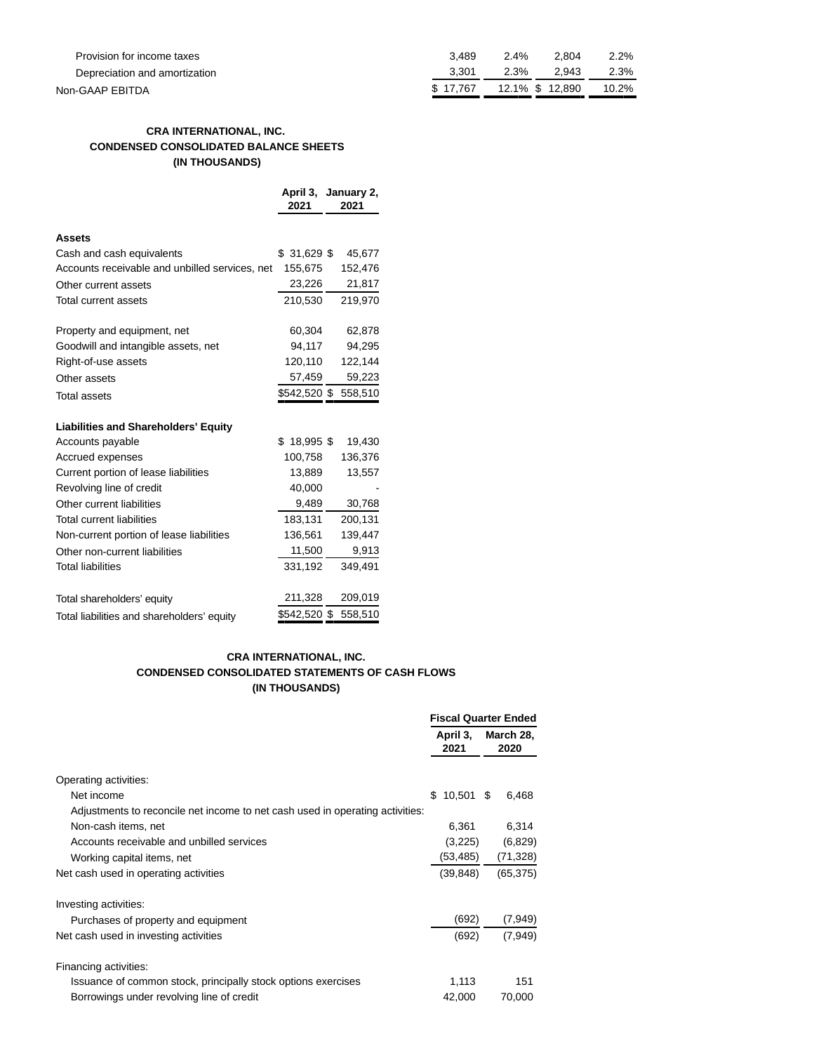| 3.489    | $2.4\%$ | 2.804           | $2.2\%$ |
|----------|---------|-----------------|---------|
| 3.301    | $2.3\%$ | 2.943           | 2.3%    |
| \$17.767 |         | 12.1% \$ 12,890 | 10.2%   |

## **CRA INTERNATIONAL, INC. CONDENSED CONSOLIDATED BALANCE SHEETS (IN THOUSANDS)**

|                                                | 2021         | April 3, January 2,<br>2021 |
|------------------------------------------------|--------------|-----------------------------|
| Assets                                         |              |                             |
| Cash and cash equivalents                      | $$31,629$ \$ | 45,677                      |
| Accounts receivable and unbilled services, net | 155,675      | 152,476                     |
| Other current assets                           | 23,226       | 21,817                      |
| Total current assets                           | 210,530      | 219,970                     |
| Property and equipment, net                    | 60,304       | 62,878                      |
| Goodwill and intangible assets, net            | 94,117       | 94,295                      |
| Right-of-use assets                            | 120,110      | 122,144                     |
| Other assets                                   | 57,459       | 59,223                      |
| <b>Total assets</b>                            | \$542,520\$  | 558,510                     |
| <b>Liabilities and Shareholders' Equity</b>    |              |                             |
| Accounts payable                               | \$18,995\$   | 19,430                      |
| Accrued expenses                               | 100,758      | 136,376                     |
| Current portion of lease liabilities           | 13,889       | 13,557                      |
| Revolving line of credit                       | 40,000       |                             |
| Other current liabilities                      | 9,489        | 30,768                      |
| <b>Total current liabilities</b>               | 183,131      | 200,131                     |
| Non-current portion of lease liabilities       | 136,561      | 139,447                     |
| Other non-current liabilities                  | 11,500       | 9,913                       |
| <b>Total liabilities</b>                       | 331,192      | 349,491                     |
| Total shareholders' equity                     | 211,328      | 209,019                     |
| Total liabilities and shareholders' equity     | \$542,520 \$ | 558,510                     |

## **CRA INTERNATIONAL, INC. CONDENSED CONSOLIDATED STATEMENTS OF CASH FLOWS (IN THOUSANDS)**

|                                                                               | <b>Fiscal Quarter Ended</b> |                   |  |
|-------------------------------------------------------------------------------|-----------------------------|-------------------|--|
|                                                                               | April 3,<br>2021            | March 28,<br>2020 |  |
| Operating activities:                                                         |                             |                   |  |
| Net income                                                                    | \$10,501 \$                 | 6,468             |  |
| Adjustments to reconcile net income to net cash used in operating activities: |                             |                   |  |
| Non-cash items, net                                                           | 6,361                       | 6,314             |  |
| Accounts receivable and unbilled services                                     | (3,225)                     | (6,829)           |  |
| Working capital items, net                                                    | (53,485)                    | (71,328)          |  |
| Net cash used in operating activities                                         | (39, 848)                   | (65, 375)         |  |
| Investing activities:                                                         |                             |                   |  |
| Purchases of property and equipment                                           | (692)                       | (7,949)           |  |
| Net cash used in investing activities                                         | (692)                       | (7,949)           |  |
| Financing activities:                                                         |                             |                   |  |
| Issuance of common stock, principally stock options exercises                 | 1,113                       | 151               |  |
| Borrowings under revolving line of credit                                     | 42,000                      | 70,000            |  |